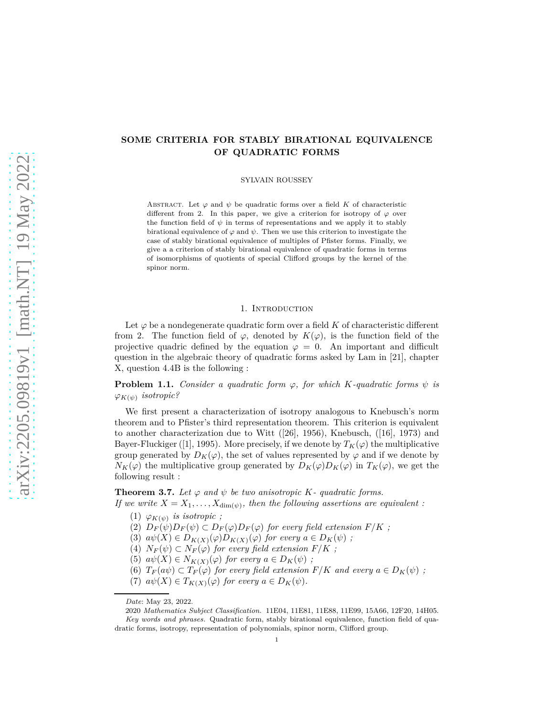# **SOME CRITERIA FOR STABLY BIRATIONAL EQUIVALENCE OF QUADRATIC FORMS**

SYLVAIN ROUSSEY

ABSTRACT. Let  $\varphi$  and  $\psi$  be quadratic forms over a field K of characteristic different from 2. In this paper, we give a criterion for isotropy of  $\varphi$  over the function field of  $\psi$  in terms of representations and we apply it to stably birational equivalence of  $\varphi$  and  $\psi$ . Then we use this criterion to investigate the case of stably birational equivalence of multiples of Pfister forms. Finally, we give a a criterion of stably birational equivalence of quadratic forms in terms of isomorphisms of quotients of special Clifford groups by the kernel of the spinor norm.

### 1. Introduction

Let  $\varphi$  be a nondegenerate quadratic form over a field K of characteristic different from 2. The function field of  $\varphi$ , denoted by  $K(\varphi)$ , is the function field of the projective quadric defined by the equation  $\varphi = 0$ . An important and difficult question in the algebraic theory of quadratic forms asked by Lam in [21], chapter X, question 4.4B is the following :

**Problem 1.1.** *Consider a quadratic form*  $\varphi$ *, for which K-quadratic forms*  $\psi$  *is*  $\varphi_{K(\psi)}$  *isotropic?* 

We first present a characterization of isotropy analogous to Knebusch's norm theorem and to Pfister's third representation theorem. This criterion is equivalent to another characterization due to Witt ([26], 1956), Knebusch, ([16], 1973) and Bayer-Fluckiger ([1], 1995). More precisely, if we denote by  $T_K(\varphi)$  the multiplicative group generated by  $D_K(\varphi)$ , the set of values represented by  $\varphi$  and if we denote by  $N_K(\varphi)$  the multiplicative group generated by  $D_K(\varphi)D_K(\varphi)$  in  $T_K(\varphi)$ , we get the following result :

**Theorem 3.7.** Let  $\varphi$  and  $\psi$  be two anisotropic K- quadratic forms.

*If we write*  $X = X_1, \ldots, X_{\dim(\psi)}$ , then the following assertions are equivalent :  $(1)$   $\varphi_{K(\psi)}$  *is isotropic*;

- (2)  $D_F(\psi)D_F(\psi) \subset D_F(\varphi)D_F(\varphi)$  for every field extension  $F/K$ ;
- (3)  $a\psi(X) \in D_{K(X)}(\varphi)D_{K(X)}(\varphi)$  *for every*  $a \in D_{K}(\psi)$ ;
- (4)  $N_F(\psi) \subset N_F(\varphi)$  for every field extension  $F/K$ ;
- (5)  $a\psi(X) \in N_{K(X)}(\varphi)$  *for every*  $a \in D_K(\psi)$ ;
- (6)  $T_F(a\psi) \subset T_F(\varphi)$  for every field extension  $F/K$  and every  $a \in D_K(\psi)$ ;
- (7)  $a\psi(X) \in T_{K(X)}(\varphi)$  *for every*  $a \in D_K(\psi)$ *.*

*Date*: May 23, 2022.

<sup>2020</sup> *Mathematics Subject Classification.* 11E04, 11E81, 11E88, 11E99, 15A66, 12F20, 14H05. *Key words and phrases.* Quadratic form, stably birational equivalence, function field of quadratic forms, isotropy, representation of polynomials, spinor norm, Clifford group.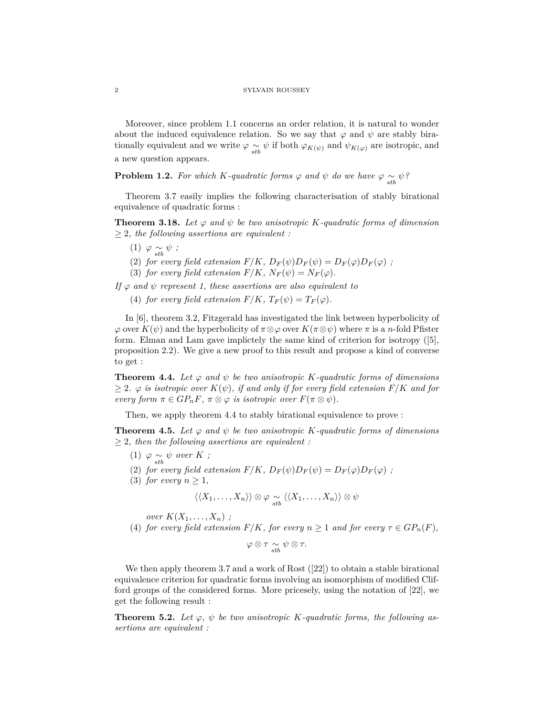Moreover, since problem 1.1 concerns an order relation, it is natural to wonder about the induced equivalence relation. So we say that  $\varphi$  and  $\psi$  are stably birationally equivalent and we write  $\varphi \sim \psi$  if both  $\varphi_{K(\psi)}$  and  $\psi_{K(\varphi)}$  are isotropic, and a new question appears.

**Problem 1.2.** For which K-quadratic forms  $\varphi$  and  $\psi$  do we have  $\varphi \sim \psi$ ?

Theorem 3.7 easily implies the following characterisation of stably birational equivalence of quadratic forms :

**Theorem 3.18.** Let  $\varphi$  and  $\psi$  be two anisotropic K-quadratic forms of dimension ≥ 2*, the following assertions are equivalent :*

- $(1)$   $\varphi \underset{stb}{\sim} \psi$ ;
- (2) *for every field extension*  $F/K$ ,  $D_F(\psi)D_F(\psi) = D_F(\varphi)D_F(\varphi)$ ;
- (3) *for every field extension*  $F/K$ ,  $N_F(\psi) = N_F(\varphi)$ .

*If*  $\varphi$  *and*  $\psi$  *represent 1, these assertions are also equivalent to* 

(4) *for every field extension*  $F/K$ ,  $T_F(\psi) = T_F(\varphi)$ .

In [6], theorem 3.2, Fitzgerald has investigated the link between hyperbolicity of  $\varphi$  over  $K(\psi)$  and the hyperbolicity of  $\pi \otimes \varphi$  over  $K(\pi \otimes \psi)$  where  $\pi$  is a *n*-fold Pfister form. Elman and Lam gave implictely the same kind of criterion for isotropy ([5], proposition 2.2). We give a new proof to this result and propose a kind of converse to get :

**Theorem 4.4.** Let  $\varphi$  and  $\psi$  be two anisotropic K-quadratic forms of dimensions  $\geq$  2*.*  $\varphi$  is isotropic over  $K(\psi)$ , if and only if for every field extension  $F/K$  and for *every form*  $\pi \in GP_nF$ ,  $\pi \otimes \varphi$  *is isotropic over*  $F(\pi \otimes \psi)$ .

Then, we apply theorem 4.4 to stably birational equivalence to prove :

**Theorem 4.5.** Let  $\varphi$  and  $\psi$  be two anisotropic K-quadratic forms of dimensions ≥ 2*, then the following assertions are equivalent :*

- $(1)$   $\varphi \underset{stb}{\sim} \psi$  over  $K$ ;
- (2) *for every field extension*  $F/K$ ,  $D_F(\psi)D_F(\psi) = D_F(\varphi)D_F(\varphi)$ ;
- (3) *for every*  $n \geq 1$ ,

$$
\langle\langle X_1,\ldots,X_n\rangle\rangle\otimes\varphi\underset{stb}{\sim}\langle\langle X_1,\ldots,X_n\rangle\rangle\otimes\psi
$$

*over*  $K(X_1, \ldots, X_n)$ ;

(4) *for every field extension*  $F/K$ *, for every*  $n \geq 1$  *and for every*  $\tau \in GP_n(F)$ *,* 

$$
\varphi\otimes\tau \underset{stb}{\sim} \psi\otimes\tau.
$$

We then apply theorem 3.7 and a work of Rost  $(22)$  to obtain a stable birational equivalence criterion for quadratic forms involving an isomorphism of modified Clifford groups of the considered forms. More pricesely, using the notation of [22], we get the following result :

**Theorem 5.2.** Let  $\varphi$ ,  $\psi$  be two anisotropic K-quadratic forms, the following as*sertions are equivalent :*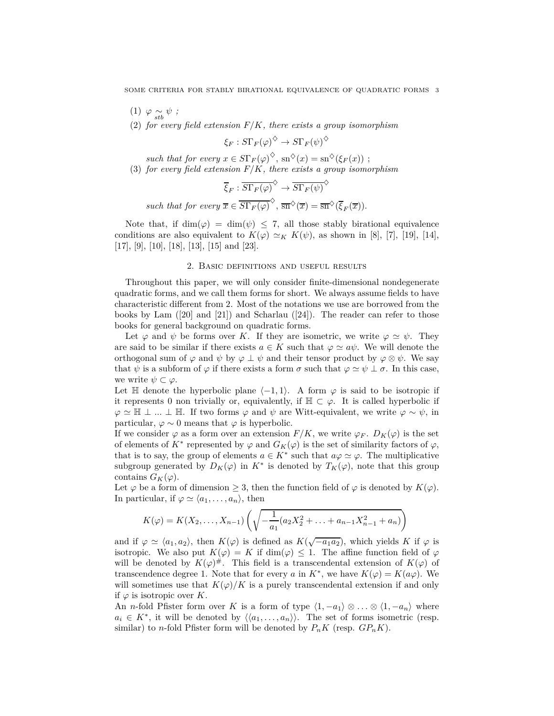- $(1)$   $\varphi \underset{stb}{\sim} \psi$ ;
- (2) *for every field extension F/K, there exists a group isomorphism*

$$
\xi_F: S\Gamma_F(\varphi)^{\diamondsuit} \to S\Gamma_F(\psi)^{\diamondsuit}
$$

*such that for every*  $x \in S\Gamma_F(\varphi)^\diamondsuit$ ,  $\text{sn}^\diamondsuit(x) = \text{sn}^\diamondsuit(\xi_F(x))$ ;

(3) *for every field extension F/K, there exists a group isomorphism*

$$
\overline{\xi}_F : \overline{S\Gamma_F(\varphi)}^{\diamondsuit} \to \overline{S\Gamma_F(\psi)}
$$

 $\diamond$ 

*such that for every*  $\overline{x} \in \overline{\mathrm{ST}_F(\varphi)}^{\diamondsuit}$ ,  $\overline{\mathrm{sn}}^{\diamondsuit}(\overline{x}) = \overline{\mathrm{sn}}^{\diamondsuit}(\overline{\xi}_F(\overline{x}))$ .

Note that, if  $\dim(\varphi) = \dim(\psi) \leq 7$ , all those stably birational equivalence conditions are also equivalent to  $K(\varphi) \simeq_K K(\psi)$ , as shown in [8], [7], [19], [14], [17], [9], [10], [18], [13], [15] and [23].

## 2. Basic definitions and useful results

Throughout this paper, we will only consider finite-dimensional nondegenerate quadratic forms, and we call them forms for short. We always assume fields to have characteristic different from 2. Most of the notations we use are borrowed from the books by Lam  $([20] \text{ and } [21])$  and Scharlau  $([24])$ . The reader can refer to those books for general background on quadratic forms.

Let  $\varphi$  and  $\psi$  be forms over *K*. If they are isometric, we write  $\varphi \simeq \psi$ . They are said to be similar if there exists  $a \in K$  such that  $\varphi \simeq a\psi$ . We will denote the orthogonal sum of  $\varphi$  and  $\psi$  by  $\varphi \perp \psi$  and their tensor product by  $\varphi \otimes \psi$ . We say that  $\psi$  is a subform of  $\varphi$  if there exists a form  $\sigma$  such that  $\varphi \simeq \psi \perp \sigma$ . In this case, we write  $\psi \subset \varphi$ .

Let  $\mathbb H$  denote the hyperbolic plane  $\langle -1, 1 \rangle$ . A form  $\varphi$  is said to be isotropic if it represents 0 non trivially or, equivalently, if  $\mathbb{H} \subset \varphi$ . It is called hyperbolic if  $\varphi$  ≃  $\mathbb{H}$  ⊥ *...* ⊥  $\mathbb{H}$ . If two forms  $\varphi$  and  $\psi$  are Witt-equivalent, we write  $\varphi \sim \psi$ , in particular,  $\varphi \sim 0$  means that  $\varphi$  is hyperbolic.

If we consider  $\varphi$  as a form over an extension  $F/K$ , we write  $\varphi_F$ .  $D_K(\varphi)$  is the set of elements of  $K^*$  represented by  $\varphi$  and  $G_K(\varphi)$  is the set of similarity factors of  $\varphi$ , that is to say, the group of elements  $a \in K^*$  such that  $a\varphi \simeq \varphi$ . The multiplicative subgroup generated by  $D_K(\varphi)$  in  $K^*$  is denoted by  $T_K(\varphi)$ , note that this group contains  $G_K(\varphi)$ .

Let  $\varphi$  be a form of dimension  $\geq 3$ , then the function field of  $\varphi$  is denoted by  $K(\varphi)$ . In particular, if  $\varphi \simeq \langle a_1, \ldots, a_n \rangle$ , then

$$
K(\varphi) = K(X_2, \dots, X_{n-1}) \left( \sqrt{-\frac{1}{a_1}(a_2 X_2^2 + \dots + a_{n-1} X_{n-1}^2 + a_n)} \right)
$$

and if  $\varphi \simeq \langle a_1, a_2 \rangle$ , then  $K(\varphi)$  is defined as  $K(\sqrt{-a_1 a_2})$ , which yields  $K$  if  $\varphi$  is isotropic. We also put  $K(\varphi) = K$  if dim $(\varphi) \leq 1$ . The affine function field of  $\varphi$ will be denoted by  $K(\varphi)^{\#}$ . This field is a transcendental extension of  $K(\varphi)$  of transcendence degree 1. Note that for every *a* in  $K^*$ , we have  $K(\varphi) = K(a\varphi)$ . We will sometimes use that  $K(\varphi)/K$  is a purely transcendental extension if and only if  $\varphi$  is isotropic over *K*.

An *n*-fold Pfister form over *K* is a form of type  $\langle 1, -a_1 \rangle \otimes \ldots \otimes \langle 1, -a_n \rangle$  where  $a_i \in K^*$ , it will be denoted by  $\langle \langle a_1, \ldots, a_n \rangle \rangle$ . The set of forms isometric (resp. similar) to *n*-fold Pfister form will be denoted by  $P_n K$  (resp.  $GP_n K$ ).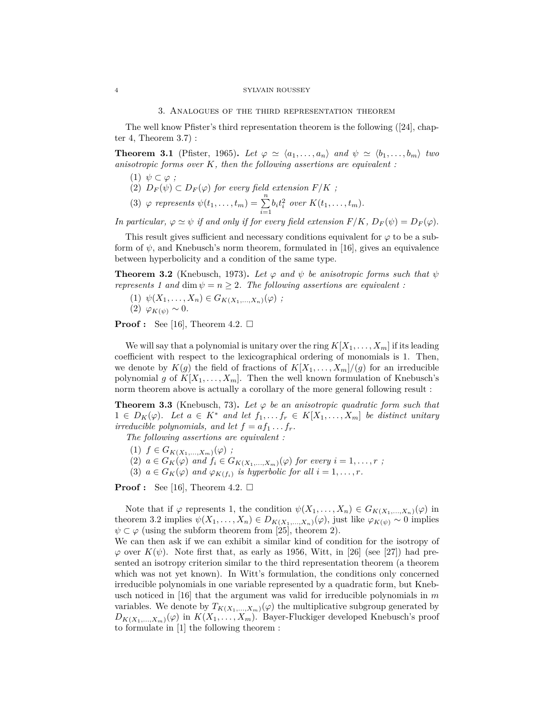#### 4 SYLVAIN ROUSSEY

#### 3. Analogues of the third representation theorem

The well know Pfister's third representation theorem is the following ([24], chapter 4, Theorem 3.7) :

**Theorem 3.1** (Pfister, 1965). Let  $\varphi \simeq \langle a_1, \ldots, a_n \rangle$  and  $\psi \simeq \langle b_1, \ldots, b_m \rangle$  two *anisotropic forms over K, then the following assertions are equivalent :*

- $(1)$   $\psi \subset \varphi$ :
- (2)  $D_F(\psi) \subset D_F(\varphi)$  *for every field extension*  $F/K$ ;
- (3)  $\varphi$  represents  $\psi(t_1, ..., t_m) = \sum_{i=1}^n b_i t_i^2$  over  $K(t_1, ..., t_m)$ .

*In particular,*  $\varphi \simeq \psi$  *if and only if for every field extension*  $F/K$ *,*  $D_F(\psi) = D_F(\varphi)$ *.* 

This result gives sufficient and necessary conditions equivalent for  $\varphi$  to be a subform of  $\psi$ , and Knebusch's norm theorem, formulated in [16], gives an equivalence between hyperbolicity and a condition of the same type.

**Theorem 3.2** (Knebusch, 1973). Let  $\varphi$  and  $\psi$  be anisotropic forms such that  $\psi$ *represents 1 and* dim  $\psi = n \geq 2$ *. The following assertions are equivalent :* 

- $(1)$   $\psi(X_1, \ldots, X_n) \in G_{K(X_1, \ldots, X_n)}(\varphi)$ ;
- (2) *ϕK*(*ψ*) ∼ 0*.*

**Proof :** See [16], Theorem 4.2.  $\square$ 

We will say that a polynomial is unitary over the ring  $K[X_1, \ldots, X_m]$  if its leading coefficient with respect to the lexicographical ordering of monomials is 1. Then, we denote by  $K(g)$  the field of fractions of  $K[X_1, \ldots, X_m]/(g)$  for an irreducible polynomial *g* of  $K[X_1, \ldots, X_m]$ . Then the well known formulation of Knebusch's norm theorem above is actually a corollary of the more general following result :

**Theorem 3.3** (Knebusch, 73). Let  $\varphi$  be an anisotropic quadratic form such that <sup>1</sup> <sup>∈</sup> *<sup>D</sup>K*(*ϕ*)*. Let <sup>a</sup>* <sup>∈</sup> *<sup>K</sup>*<sup>∗</sup> *and let <sup>f</sup>*1*, . . . f<sup>r</sup>* <sup>∈</sup> *<sup>K</sup>*[*X*1*, . . . , Xm*] *be distinct unitary irreducible polynomials, and let*  $f = af_1 \ldots fr$ .

*The following assertions are equivalent :*

- (1)  $f \in G_{K(X_1,...,X_m)}(\varphi)$ ;
- $(2)$   $a \in G_K(\varphi)$  and  $f_i \in G_{K(X_1,...,X_m)}(\varphi)$  for every  $i = 1,...,r$ ;
- (3)  $a \in G_K(\varphi)$  and  $\varphi_{K(f_i)}$  is hyperbolic for all  $i = 1, \ldots, r$ .

**Proof :** See [16], Theorem 4.2.  $\Box$ 

Note that if  $\varphi$  represents 1, the condition  $\psi(X_1, \ldots, X_n) \in G_{K(X_1, \ldots, X_n)}(\varphi)$  in theorem 3.2 implies  $\psi(X_1, \ldots, X_n) \in D_{K(X_1, \ldots, X_n)}(\varphi)$ , just like  $\varphi_{K(\psi)} \sim 0$  implies  $\psi \subset \varphi$  (using the subform theorem from [25], theorem 2).

We can then ask if we can exhibit a similar kind of condition for the isotropy of  $\varphi$  over  $K(\psi)$ . Note first that, as early as 1956, Witt, in [26] (see [27]) had presented an isotropy criterion similar to the third representation theorem (a theorem which was not yet known). In Witt's formulation, the conditions only concerned irreducible polynomials in one variable represented by a quadratic form, but Knebusch noticed in [16] that the argument was valid for irreducible polynomials in *m* variables. We denote by  $T_{K(X_1,...,X_m)}(\varphi)$  the multiplicative subgroup generated by  $D_{K(X_1,...,X_m)}(\varphi)$  in  $K(X_1,...,X_m)$ . Bayer-Fluckiger developed Knebusch's proof to formulate in [1] the following theorem :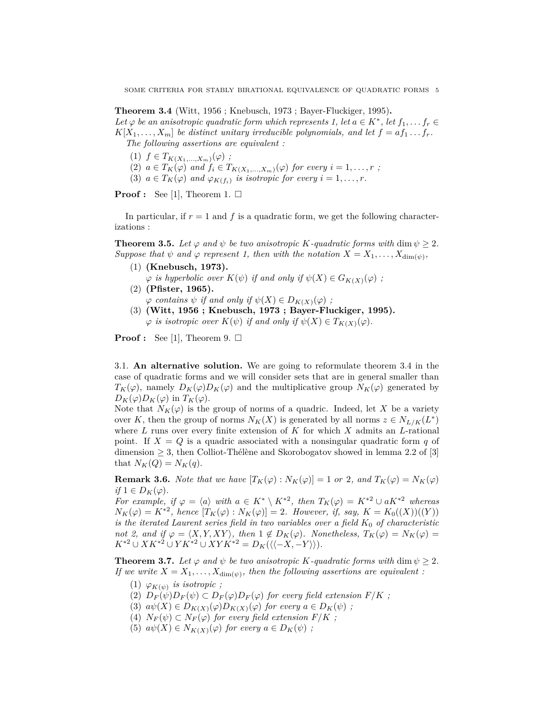**Theorem 3.4** (Witt, 1956 ; Knebusch, 1973 ; Bayer-Fluckiger, 1995)**.** *Let*  $\varphi$  *be an anisotropic quadratic form which represents 1, let*  $a \in K^*$ , *let*  $f_1, \ldots, f_r \in$  $K[X_1, \ldots, X_m]$  *be distinct unitary irreducible polynomials, and let*  $f = af_1 \ldots fr$ . *The following assertions are equivalent :*

 $(1)$   $f \in T_{K(X_1,...,X_m)}(\varphi)$ ; (2)  $a \in T_K(\varphi)$  and  $f_i \in T_{K(X_1,\ldots,X_m)}(\varphi)$  for every  $i = 1,\ldots,r$ ; (3)  $a \in T_K(\varphi)$  and  $\varphi_{K(f_i)}$  is isotropic for every  $i = 1, \ldots, r$ .

**Proof :** See [1], Theorem 1.  $\square$ 

In particular, if  $r = 1$  and f is a quadratic form, we get the following characterizations :

**Theorem 3.5.** Let  $\varphi$  and  $\psi$  be two anisotropic *K-quadratic forms with* dim  $\psi \geq 2$ . *Suppose that*  $\psi$  *and*  $\varphi$  *represent 1, then with the notation*  $X = X_1, \ldots, X_{\dim(\psi)}$ ,

- (1) **(Knebusch, 1973).**  $\varphi$  *is hyperbolic over*  $K(\psi)$  *if and only if*  $\psi(X) \in G_{K(X)}(\varphi)$ ;
- (2) **(Pfister, 1965).**  $\varphi$  *contains*  $\psi$  *if and only if*  $\psi(X) \in D_{K(X)}(\varphi)$ ;
- (3) **(Witt, 1956 ; Knebusch, 1973 ; Bayer-Fluckiger, 1995).**  $\varphi$  *is isotropic over*  $K(\psi)$  *if and only if*  $\psi(X) \in T_{K(X)}(\varphi)$ *.*

**Proof :** See [1], Theorem 9.  $\square$ 

3.1. **An alternative solution.** We are going to reformulate theorem 3.4 in the case of quadratic forms and we will consider sets that are in general smaller than  $T_K(\varphi)$ , namely  $D_K(\varphi)D_K(\varphi)$  and the multiplicative group  $N_K(\varphi)$  generated by  $D_K(\varphi)D_K(\varphi)$  in  $T_K(\varphi)$ .

Note that  $N_K(\varphi)$  is the group of norms of a quadric. Indeed, let X be a variety over *K*, then the group of norms  $N_K(X)$  is generated by all norms  $z \in N_{L/K}(L^*)$ where *L* runs over every finite extension of *K* for which *X* admits an *L*-rational point. If  $X = Q$  is a quadric associated with a nonsingular quadratic form q of dimension  $\geq$  3, then Colliot-Thélène and Skorobogatov showed in lemma 2.2 of [3] that  $N_K(Q) = N_K(q)$ .

**Remark 3.6.** *Note that we have*  $[T_K(\varphi): N_K(\varphi)] = 1$  *or* 2*, and*  $T_K(\varphi) = N_K(\varphi)$  $if$  1  $\in$   $D_K(\varphi)$ .

*For example, if*  $\varphi = \langle a \rangle$  *with*  $a \in K^* \setminus K^{*2}$ , then  $T_K(\varphi) = K^{*2} \cup aK^{*2}$  *whereas*  $N_K(\varphi) = K^{*2}$ , hence  $[T_K(\varphi) : N_K(\varphi)] = 2$ . However, if, say,  $K = K_0((X))((Y))$ *is the iterated Laurent series field in two variables over a field*  $K_0$  *of characteristic not 2, and if*  $\varphi = \langle X, Y, XY \rangle$ , then  $1 \notin D_K(\varphi)$ . Nonetheless,  $T_K(\varphi) = N_K(\varphi) =$ *K*<sup>∗2</sup> ∪ *XK*<sup>∗2</sup> ∪ *YK*<sup>∗2</sup> ∪ *XYK*<sup>∗2</sup> = *D<sub>K</sub>*( $\langle \langle -X, -Y \rangle \rangle$ ).

**Theorem 3.7.** *Let*  $\varphi$  *and*  $\psi$  *be two anisotropic K-quadratic forms with* dim  $\psi \geq 2$ *. If we write*  $X = X_1, \ldots, X_{\dim(\psi)}$ , then the following assertions are equivalent :

- $(1)$   $\varphi_{K(\psi)}$  *is isotropic*;
- (2)  $D_F(\psi)D_F(\psi) \subset D_F(\varphi)D_F(\varphi)$  for every field extension  $F/K$ ;
- (3)  $a\psi(X) \in D_{K(X)}(\varphi)D_{K(X)}(\varphi)$  for every  $a \in D_{K}(\psi)$ ;
- (4)  $N_F(\psi) \subset N_F(\varphi)$  for every field extension  $F/K$ ;
- (5)  $a\psi(X) \in N_{K(X)}(\varphi)$  for every  $a \in D_K(\psi)$ ;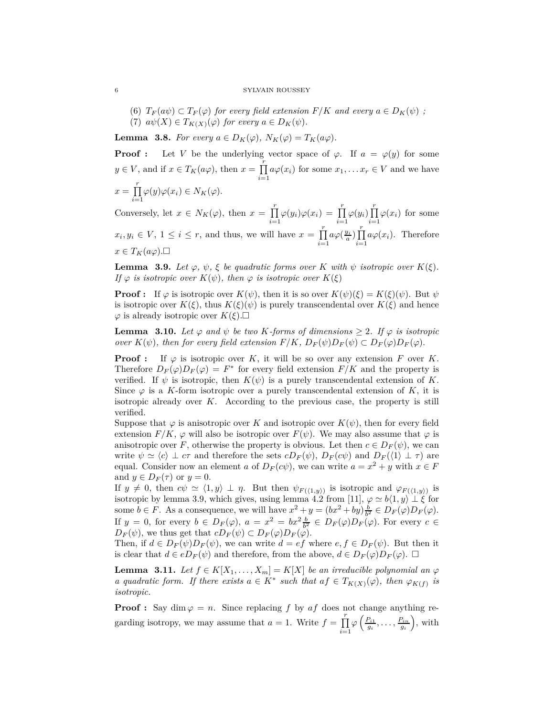(6)  $T_F(a\psi) \subset T_F(\varphi)$  for every field extension  $F/K$  and every  $a \in D_K(\psi)$ ; (7)  $a\psi(X) \in T_{K(X)}(\varphi)$  *for every*  $a \in D_K(\psi)$ .

**Lemma 3.8.** *For every*  $a \in D_K(\varphi)$ ,  $N_K(\varphi) = T_K(a\varphi)$ .

**Proof :** Let *V* be the underlying vector space of  $\varphi$ . If  $a = \varphi(y)$  for some  $y \in V$ , and if  $x \in T_K(a\varphi)$ , then  $x = \prod_{i=1}^r$  $\prod_{i=1} a\varphi(x_i)$  for some  $x_1, \ldots x_r \in V$  and we have  $x = \prod^r$  $\prod_{i=1} \varphi(y) \varphi(x_i) \in N_K(\varphi).$ 

Conversely, let  $x \in N_K(\varphi)$ , then  $x = \prod_{i=1}^r$  $\prod_{i=1}^{r} \varphi(y_i)\varphi(x_i) = \prod_{i=1}^{r} \varphi(y_i) \prod_{i=1}^{r}$  $\prod_{i=1} \varphi(x_i)$  for some  $x_i, y_i \in V, 1 \leq i \leq r$ , and thus, we will have  $x = \prod_{i=1}^{r}$ *i*=1  $a\varphi(\frac{y_i}{a})\prod$  $\prod_{i=1} a \varphi(x_i)$ . Therefore  $x \in T_K(a\varphi)$ .□

**Lemma 3.9.** *Let*  $\varphi$ ,  $\psi$ ,  $\xi$  *be quadratic forms over K with*  $\psi$  *isotropic over*  $K(\xi)$ *. If*  $\varphi$  *is isotropic over*  $K(\psi)$ *, then*  $\varphi$  *is isotropic over*  $K(\xi)$ 

**Proof :** If  $\varphi$  is isotropic over  $K(\psi)$ , then it is so over  $K(\psi)(\xi) = K(\xi)(\psi)$ . But  $\psi$ is isotropic over  $K(\xi)$ , thus  $K(\xi)(\psi)$  is purely transcendental over  $K(\xi)$  and hence  $\varphi$  is already isotropic over  $K(\xi)$ . $\square$ 

**Lemma 3.10.** Let  $\varphi$  and  $\psi$  be two K-forms of dimensions  $\geq 2$ . If  $\varphi$  is isotropic *over*  $K(\psi)$ *, then for every field extension*  $F/K$ *,*  $D_F(\psi)D_F(\psi) \subset D_F(\varphi)D_F(\varphi)$ *.* 

**Proof :** If  $\varphi$  is isotropic over *K*, it will be so over any extension *F* over *K*. Therefore  $D_F(\varphi)D_F(\varphi) = F^*$  for every field extension  $F/K$  and the property is verified. If  $\psi$  is isotropic, then  $K(\psi)$  is a purely transcendental extension of K. Since  $\varphi$  is a *K*-form isotropic over a purely transcendental extension of *K*, it is isotropic already over *K*. According to the previous case, the property is still verified.

Suppose that  $\varphi$  is anisotropic over *K* and isotropic over  $K(\psi)$ , then for every field extension  $F/K$ ,  $\varphi$  will also be isotropic over  $F(\psi)$ . We may also assume that  $\varphi$  is anisotropic over *F*, otherwise the property is obvious. Let then  $c \in D_F(\psi)$ , we can write  $\psi \simeq \langle c \rangle \perp c\tau$  and therefore the sets  $cD_F(\psi)$ ,  $D_F(c\psi)$  and  $D_F(\langle 1 \rangle \perp \tau)$  are equal. Consider now an element *a* of  $D_F(c\psi)$ , we can write  $a = x^2 + y$  with  $x \in F$ and  $y \in D_F(\tau)$  or  $y = 0$ .

If  $y \neq 0$ , then  $c\psi \simeq \langle 1, y \rangle \perp \eta$ . But then  $\psi_{F(\langle 1,y \rangle)}$  is isotropic and  $\varphi_{F(\langle 1,y \rangle)}$  is isotropic by lemma 3.9, which gives, using lemma 4.2 from [11],  $\varphi \simeq b\langle 1, y \rangle \perp \xi$  for some  $b \in F$ . As a consequence, we will have  $x^2 + y = (bx^2 + by)\frac{b}{b^2} \in D_F(\varphi)D_F(\varphi)$ . If  $y = 0$ , for every  $b \in D_F(\varphi)$ ,  $a = x^2 = bx^2 \frac{b}{b^2} \in D_F(\varphi)D_F(\varphi)$ . For every  $c \in$  $D_F(\psi)$ , we thus get that  $cD_F(\psi) \subset D_F(\varphi)D_F(\varphi)$ .

Then, if  $d \in D_F(\psi)D_F(\psi)$ , we can write  $d = ef$  where  $e, f \in D_F(\psi)$ . But then it is clear that  $d \in eD_F(\psi)$  and therefore, from the above,  $d \in D_F(\varphi)D_F(\varphi)$ .  $\Box$ 

**Lemma 3.11.** *Let*  $f \in K[X_1, \ldots, X_m] = K[X]$  *be an irreducible polynomial an*  $\varphi$ *a* quadratic form. If there exists  $a \in K^*$  such that  $af \in T_{K(X)}(\varphi)$ , then  $\varphi_{K(f)}$  is *isotropic.*

**Proof :** Say dim  $\varphi = n$ . Since replacing f by af does not change anything regarding isotropy, we may assume that  $a = 1$ . Write  $f = \prod_{r=1}^{r}$ *i*=1  $\varphi\left(\frac{P_{i1}}{g_i}, \ldots, \frac{P_{in}}{g_i}\right)$ , with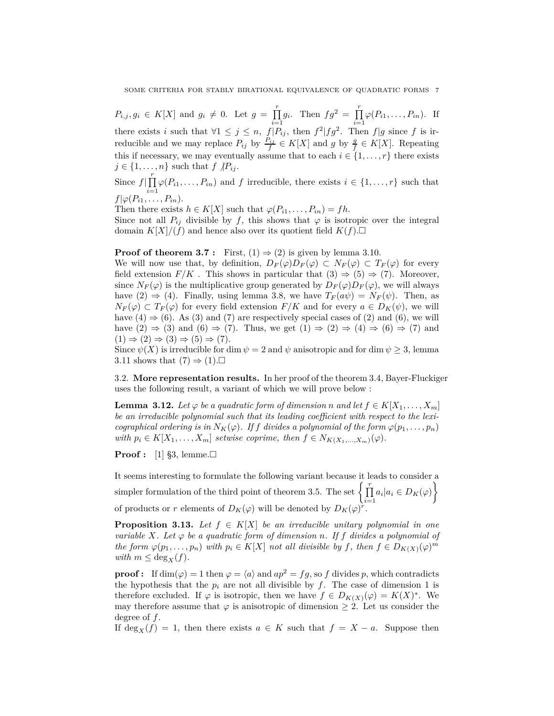$P_{i,j}, g_i \in K[X]$  and  $g_i \neq 0$ . Let  $g = \prod_{i=1}^{r}$  $\prod_{i=1}^{r} g_i$ . Then  $fg^2 = \prod_{i=1}^{r}$  $\prod_{i=1} \varphi(P_{i1}, \ldots, P_{in}).$  If there exists *i* such that  $\forall 1 \leq j \leq n$ ,  $\int_{0}^{1} P_{ij}$ , then  $f^2 | fg^2$ . Then  $f|g$  since f is irreducible and we may replace  $P_{ij}$  by  $\frac{P_{ij}}{f} \in K[X]$  and  $g$  by  $\frac{g}{f} \in K[X]$ . Repeating this if necessary, we may eventually assume that to each  $i \in \{1, \ldots, r\}$  there exists  $j \in \{1, \ldots, n\}$  such that  $f \nvert P_{ij}$ .

Since  $f|\prod_{i=1}^r$  $\prod_{i=1} \varphi(P_{i1}, \ldots, P_{in})$  and *f* irreducible, there exists  $i \in \{1, \ldots, r\}$  such that  $f|\varphi(P_{i1},\ldots,P_{in}).$ 

Then there exists  $h \in K[X]$  such that  $\varphi(P_{i1}, \ldots, P_{in}) = fh$ .

Since not all  $P_{ij}$  divisible by f, this shows that  $\varphi$  is isotropic over the integral domain  $K[X]/(f)$  and hence also over its quotient field  $K(f)$ .

## **Proof of theorem 3.7 :** First,  $(1) \Rightarrow (2)$  is given by lemma 3.10.

We will now use that, by definition,  $D_F(\varphi)D_F(\varphi) \subset N_F(\varphi) \subset T_F(\varphi)$  for every field extension  $F/K$ . This shows in particular that  $(3) \Rightarrow (5) \Rightarrow (7)$ . Moreover, since  $N_F(\varphi)$  is the multiplicative group generated by  $D_F(\varphi)D_F(\varphi)$ , we will always have (2)  $\Rightarrow$  (4). Finally, using lemma 3.8, we have  $T_F(a\psi) = N_F(\psi)$ . Then, as  $N_F(\varphi) \subset T_F(\varphi)$  for every field extension  $F/K$  and for every  $a \in D_K(\psi)$ , we will have  $(4) \Rightarrow (6)$ . As  $(3)$  and  $(7)$  are respectively special cases of  $(2)$  and  $(6)$ , we will have  $(2) \Rightarrow (3)$  and  $(6) \Rightarrow (7)$ . Thus, we get  $(1) \Rightarrow (2) \Rightarrow (4) \Rightarrow (6) \Rightarrow (7)$  and  $(1) \Rightarrow (2) \Rightarrow (3) \Rightarrow (5) \Rightarrow (7)$ .

Since  $\psi(X)$  is irreducible for dim  $\psi = 2$  and  $\psi$  anisotropic and for dim  $\psi \geq 3$ , lemma 3.11 shows that  $(7) \Rightarrow (1)$ .

3.2. **More representation results.** In her proof of the theorem 3.4, Bayer-Fluckiger uses the following result, a variant of which we will prove below :

**Lemma 3.12.** *Let*  $\varphi$  *be a quadratic form of dimension n* and let  $f \in K[X_1, \ldots, X_m]$ *be an irreducible polynomial such that its leading coefficient with respect to the lexicographical ordering is in*  $N_K(\varphi)$ *. If f* divides a polynomial of the form  $\varphi(p_1, \ldots, p_n)$ *with*  $p_i \in K[X_1, \ldots, X_m]$  *setwise coprime, then*  $f \in N_{K(X_1, \ldots, X_m)}(\varphi)$ .

**Proof :** [1] §3, lemme.□

It seems interesting to formulate the following variant because it leads to consider a simpler formulation of the third point of theorem 3.5. The set  $\left\{ \prod_{i=1}^{r} \right\}$  $\prod_{i=1} a_i | a_i \in D_K(\varphi)$  $\mathcal{L}$ of products or *r* elements of  $D_K(\varphi)$  will be denoted by  $D_K(\varphi)^r$ .

**Proposition 3.13.** *Let*  $f \in K[X]$  *be an irreducible unitary polynomial in one variable*  $X$ *. Let*  $\varphi$  *be a quadratic form of dimension n. If*  $f$  *divides a polynomial of the form*  $\varphi(p_1, \ldots, p_n)$  *with*  $p_i \in K[X]$  *not all divisible by f, then*  $f \in D_{K(X)}(\varphi)^m$ *with*  $m \leq \deg_X(f)$ *.* 

**proof :** If  $\dim(\varphi) = 1$  then  $\varphi = \langle a \rangle$  and  $ap^2 = fg$ , so f divides p, which contradicts the hypothesis that the  $p_i$  are not all divisible by  $f$ . The case of dimension 1 is therefore excluded. If  $\varphi$  is isotropic, then we have  $f \in D_{K(X)}(\varphi) = K(X)^*$ . We may therefore assume that  $\varphi$  is anisotropic of dimension  $\geq 2$ . Let us consider the degree of *f*.

If  $\deg_X(f) = 1$ , then there exists  $a \in K$  such that  $f = X - a$ . Suppose then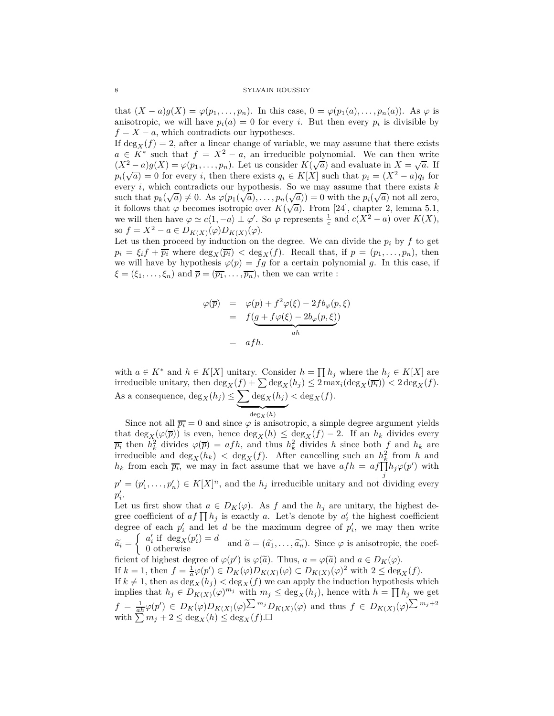that  $(X - a)g(X) = \varphi(p_1, \ldots, p_n)$ . In this case,  $0 = \varphi(p_1(a), \ldots, p_n(a))$ . As  $\varphi$  is anisotropic, we will have  $p_i(a) = 0$  for every *i*. But then every  $p_i$  is divisible by  $f = X - a$ , which contradicts our hypotheses.

If  $\deg_X(f) = 2$ , after a linear change of variable, we may assume that there exists  $a \in K^*$  such that  $f = X^2 - a$ , an irreducible polynomial. We can then write  $(X^2 - a)g(X) = \varphi(p_1, \ldots, p_n)$ . Let us consider  $K(\sqrt{a})$  and evaluate in  $X = \sqrt{a}$ . If  $p_i(\sqrt{a}) = 0$  for every *i*, then there exists  $q_i \in K[X]$  such that  $p_i = (X^2 - a)q_i$  for every *i*, which contradicts our hypothesis. So we may assume that there exists *k* such that  $p_k(\sqrt{a}) \neq 0$ . As  $\varphi(p_1(\sqrt{a}), \ldots, p_n(\sqrt{a})) = 0$  with the  $p_i(\sqrt{a})$  not all zero, it follows that  $\varphi$  becomes isotropic over  $K(\sqrt{a})$ . From [24], chapter 2, lemma 5.1, we will then have  $\varphi \simeq c\langle 1, -a \rangle \perp \varphi'$ . So  $\varphi$  represents  $\frac{1}{c}$  and  $c(X^2 - a)$  over  $K(X)$ , so  $f = X^2 - a \in D_{K(X)}(\varphi)D_{K(X)}(\varphi)$ .

Let us then proceed by induction on the degree. We can divide the  $p_i$  by  $f$  to get  $p_i = \xi_i f + \overline{p_i}$  where  $\deg_X(\overline{p_i}) < \deg_X(f)$ . Recall that, if  $p = (p_1, \ldots, p_n)$ , then we will have by hypothesis  $\varphi(p) = fg$  for a certain polynomial g. In this case, if  $\xi = (\xi_1, \ldots, \xi_n)$  and  $\overline{p} = (\overline{p_1}, \ldots, \overline{p_n})$ , then we can write :

$$
\varphi(\overline{p}) = \varphi(p) + f^2 \varphi(\xi) - 2f b_{\varphi}(p, \xi)
$$
  
=  $f(g + f \varphi(\xi) - 2b_{\varphi}(p, \xi))$   
=  $afh$ .

with  $a \in K^*$  and  $h \in K[X]$  unitary. Consider  $h = \prod h_j$  where the  $h_j \in K[X]$  are irreducible unitary, then  $\deg_X(f) + \sum \deg_X(h_j) \leq 2 \max_i (\deg_X(\overline{p_i})) < 2 \deg_X(f)$ . As a consequence,  $\deg_X(h_j) \leq \sum \deg_X(h_j)$  $<$  deg<sub>*X*</sub>(*f*).

 $\overline{\deg_X(h)}$ Since not all  $\overline{p_i} = 0$  and since  $\varphi$  is anisotropic, a simple degree argument yields that  $\deg_X(\varphi(\overline{p}))$  is even, hence  $\deg_X(h) \leq \deg_X(f) - 2$ . If an  $h_k$  divides every  $\overline{p_i}$  then  $h_k^2$  divides  $\varphi(\overline{p}) = afh$ , and thus  $h_k^2$  divides *h* since both *f* and  $h_k$  are irreducible and  $\deg_X(h_k) < \deg_X(f)$ . After cancelling such an  $h_k^2$  from *h* and *h<sub>k</sub>* from each  $\overline{p_i}$ , we may in fact assume that we have  $afh = af\prod_{i}^{n}h_j\varphi(p')$  with *j*  $p' = (p'_1, \ldots, p'_n) \in K[X]^n$ , and the  $h_j$  irreducible unitary and not dividing every  $p_i'$ .

Let us first show that  $a \in D_K(\varphi)$ . As *f* and the  $h_j$  are unitary, the highest degree coefficient of  $af \prod h_j$  is exactly *a*. Let's denote by  $a'_i$  the highest coefficient degree of each  $p_i'$  and let *d* be the maximum degree of  $p_i'$ , we may then write  $\widetilde{a_i} =$  $\begin{cases} a'_i \text{ if } \deg_X(p'_i) = d \\ 0 \text{ otherwise} \end{cases}$  and  $\widetilde{a} = (\widetilde{a_1}, \ldots, \widetilde{a_n})$ . Since  $\varphi$  is anisotropic, the coefficient of highest degree of  $\varphi(p')$  is  $\varphi(\tilde{a})$ . Thus,  $a = \varphi(\tilde{a})$  and  $a \in D_K(\varphi)$ . If  $k = 1$ , then  $f = \frac{1}{a} \varphi(p') \in D_K(\varphi)D_{K(X)}(\varphi) \subset D_{K(X)}(\varphi)^2$  with  $2 \le \deg_X(f)$ . If  $k \neq 1$ , then as  $\deg_X(h_j) < \deg_X(f)$  we can apply the induction hypothesis which implies that  $h_j \in D_{K(X)}(\varphi)^{m_j}$  with  $m_j \leq \deg_X(h_j)$ , hence with  $h = \prod h_j$  we get  $f = \frac{1}{ah}\varphi(p') \in D_K(\varphi)D_{K(X)}(\varphi) \sum_{m} m_j D_{K(X)}(\varphi)$  and thus  $f \in D_{K(X)}(\varphi) \sum_{m_j+2} m_j$ with  $\sum_{i=1}^{n} m_j + 2 \le \deg_X(h) \le \deg_X(f)$ .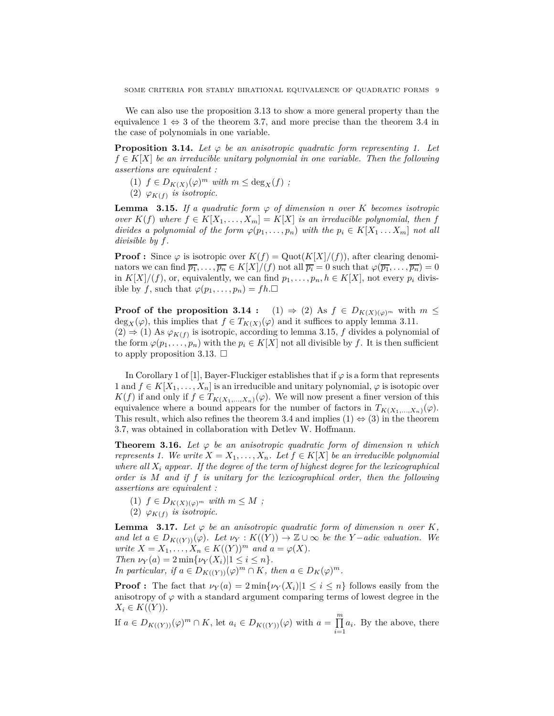We can also use the proposition 3.13 to show a more general property than the equivalence  $1 \Leftrightarrow 3$  of the theorem 3.7, and more precise than the theorem 3.4 in the case of polynomials in one variable.

**Proposition 3.14.** Let  $\varphi$  be an anisotropic quadratic form representing 1. Let  $f \in K[X]$  *be an irreducible unitary polynomial in one variable. Then the following assertions are equivalent :*

- $(1)$   $f \in D_{K(X)}(\varphi)^m$  *with*  $m \le \deg_X(f)$ ;
- (2)  $\varphi_{K(f)}$  *is isotropic.*

**Lemma** 3.15. *If a quadratic form*  $\varphi$  *of dimension n over K becomes isotropic over*  $K(f)$  *where*  $f \in K[X_1, \ldots, X_m] = K[X]$  *is an irreducible polynomial, then f divides a polynomial of the form*  $\varphi(p_1, \ldots, p_n)$  *with the*  $p_i \in K[X_1 \ldots X_m]$  *not all divisible by f.*

**Proof :** Since  $\varphi$  is isotropic over  $K(f) = \text{Quot}(K[X]/(f))$ , after clearing denominators we can find  $\overline{p_1}, \ldots, \overline{p_n} \in K[X]/(f)$  not all  $\overline{p_i} = 0$  such that  $\varphi(\overline{p_1}, \ldots, \overline{p_n}) = 0$ in  $K[X]/(f)$ , or, equivalently, we can find  $p_1, \ldots, p_n, h \in K[X]$ , not every  $p_i$  divisible by *f*, such that  $\varphi(p_1, \ldots, p_n) = fh.\Box$ 

**Proof of the proposition 3.14 :** (1)  $\Rightarrow$  (2) As  $f \in D_{K(X)(\varphi)^m}$  with  $m \leq$ deg<sub>*X*</sub>( $\varphi$ ), this implies that  $f \in T_{K(X)}(\varphi)$  and it suffices to apply lemma 3.11. (2)  $\Rightarrow$  (1) As  $\varphi_{K(f)}$  is isotropic, according to lemma 3.15, *f* divides a polynomial of the form  $\varphi(p_1, \ldots, p_n)$  with the  $p_i \in K[X]$  not all divisible by f. It is then sufficient to apply proposition 3.13.  $\Box$ 

In Corollary 1 of [1], Bayer-Fluckiger establishes that if  $\varphi$  is a form that represents 1 and  $f \in K[X_1, \ldots, X_n]$  is an irreducible and unitary polynomial,  $\varphi$  is isotopic over *K*(*f*) if and only if *f* ∈ *T*<sub>*K*(*X*<sub>1</sub>,...,*X*<sub>*n*</sub>)( $\varphi$ ). We will now present a finer version of this</sub> equivalence where a bound appears for the number of factors in  $T_{K(X_1,...,X_n)}(\varphi)$ . This result, which also refines the theorem 3.4 and implies  $(1) \Leftrightarrow (3)$  in the theorem 3.7, was obtained in collaboration with Detlev W. Hoffmann.

**Theorem 3.16.** Let  $\varphi$  be an anisotropic quadratic form of dimension *n* which *represents 1. We write*  $X = X_1, \ldots, X_n$ . Let  $f \in K[X]$  be an irreducible polynomial *where all X<sup>i</sup> appear. If the degree of the term of highest degree for the lexicographical order is M and if f is unitary for the lexicographical order, then the following assertions are equivalent :*

(1)  $f \in D_{K(X)(\varphi)^m}$  *with*  $m \leq M$ ; (2)  $\varphi_{K(f)}$  *is isotropic.* 

**Lemma** 3.17. Let  $\varphi$  be an anisotropic quadratic form of dimension *n* over *K*, *and let*  $a \in D_{K(\{Y\})}(\varphi)$ *. Let*  $\nu_Y : K(\{Y\}) \to \mathbb{Z} \cup \infty$  *be the Y* − *adic valuation. We write*  $X = X_1, \ldots, X_n \in K((Y))^m$  *and*  $a = \varphi(X)$ *. Then*  $\nu_Y(a) = 2 \min{\{\nu_Y(X_i)|1 \leq i \leq n\}}$ . *In particular, if*  $a \in D_{K((Y))}(\varphi)^m \cap K$ *, then*  $a \in D_K(\varphi)^m$ *.* 

**Proof :** The fact that  $\nu_Y(a) = 2 \min\{\nu_Y(X_i) | 1 \leq i \leq n\}$  follows easily from the anisotropy of  $\varphi$  with a standard argument comparing terms of lowest degree in the  $X_i \in K((Y)).$ 

If  $a \in D_{K((Y))}(\varphi)^m \cap K$ , let  $a_i \in D_{K((Y))}(\varphi)$  with  $a = \prod_{i=1}^{m}$  $\prod_{i=1} a_i$ . By the above, there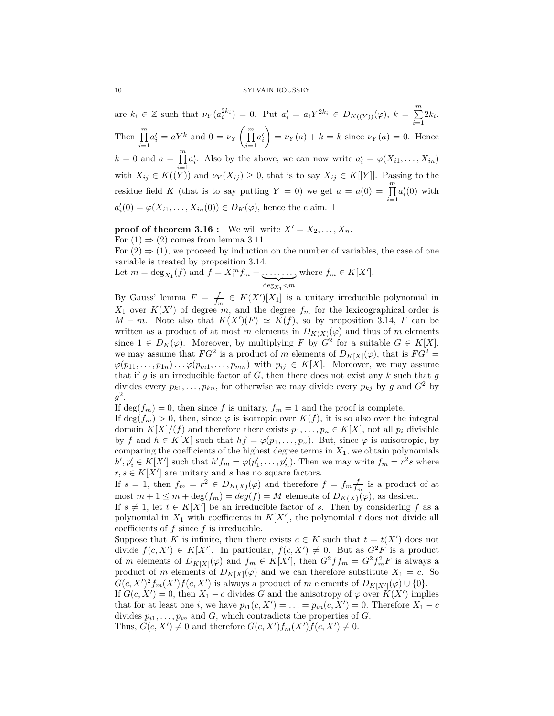#### 10 SYLVAIN ROUSSEY

are  $k_i \in \mathbb{Z}$  such that  $\nu_Y(a_i^{2k_i}) = 0$ . Put  $a'_i = a_i Y^{2k_i} \in D_{K((Y))}(\varphi)$ ,  $k = \sum_{i=1}^m a_i^2$  $\sum_{i=1}^{n} 2k_i$ . Then  $\prod^m$ *i*=1  $a'_i = aY^k$  and  $0 = \nu_Y \left( \prod^m$ *i*=1  $a_i'$  $\overline{ }$  $= \nu_Y(a) + k = k$  since  $\nu_Y(a) = 0$ . Hence  $k = 0$  and  $a = \prod^{m}$ *i*=1  $a'_i$ . Also by the above, we can now write  $a'_i = \varphi(X_{i1}, \ldots, X_{in})$ with  $X_{ij} \in K((Y))$  and  $\nu_Y(X_{ij}) \geq 0$ , that is to say  $X_{ij} \in K[[Y]]$ . Passing to the residue field *K* (that is to say putting *Y* = 0) we get  $a = a(0) = \prod_{i=1}^{m}$ *i*=1  $a_i'(0)$  with  $a'_{i}(0) = \varphi(X_{i1}, \ldots, X_{in}(0)) \in D_{K}(\varphi)$ , hence the claim.

**proof of theorem 3.16 :** We will write  $X' = X_2, \ldots, X_n$ .

For  $(1) \Rightarrow (2)$  comes from lemma 3.11.

For  $(2) \Rightarrow (1)$ , we proceed by induction on the number of variables, the case of one variable is treated by proposition 3.14.

Let 
$$
m = \deg_{X_1}(f)
$$
 and  $f = X_1^m f_m + \underbrace{\ldots \ldots \ldots}_{\deg_{X_1} < m}$  where  $f_m \in K[X']$ .

By Gauss' lemma  $F = \frac{f}{f_m} \in K(X')[X_1]$  is a unitary irreducible polynomial in  $X_1$  over  $K(X')$  of degree *m*, and the degree  $f_m$  for the lexicographical order is *M* − *m*. Note also that  $K(X')(F) \simeq K(f)$ , so by proposition 3.14, *F* can be written as a product of at most *m* elements in  $D_{K(X)}(\varphi)$  and thus of *m* elements since  $1 \in D_K(\varphi)$ . Moreover, by multiplying *F* by  $G^2$  for a suitable  $G \in K[X]$ , we may assume that  $FG^2$  is a product of *m* elements of  $D_{K[X]}(\varphi)$ , that is  $FG^2 =$  $\varphi(p_{11}, \ldots, p_{1n}) \ldots \varphi(p_{m1}, \ldots, p_{mn})$  with  $p_{ij} \in K[X]$ . Moreover, we may assume that if  $g$  is an irreducible factor of  $G$ , then there does not exist any  $k$  such that  $g$ divides every  $p_{k1}, \ldots, p_{kn}$ , for otherwise we may divide every  $p_{kj}$  by  $g$  and  $G^2$  by  $g^2$ .

If  $\deg(f_m) = 0$ , then since f is unitary,  $f_m = 1$  and the proof is complete.

If  $\deg(f_m) > 0$ , then, since  $\varphi$  is isotropic over  $K(f)$ , it is so also over the integral domain  $K[X]/(f)$  and therefore there exists  $p_1, \ldots, p_n \in K[X]$ , not all  $p_i$  divisible by *f* and  $h \in K[X]$  such that  $hf = \varphi(p_1, \ldots, p_n)$ . But, since  $\varphi$  is anisotropic, by comparing the coefficients of the highest degree terms in  $X_1$ , we obtain polynomials  $h', p'_{i} \in K[X']$  such that  $h'f_m = \varphi(p'_1, \ldots, p'_n)$ . Then we may write  $f_m = r^2 s$  where  $r, s \in K[X']$  are unitary and *s* has no square factors.

If  $s = 1$ , then  $f_m = r^2 \in D_{K(X)}(\varphi)$  and therefore  $f = f_m \frac{f}{f_m}$  is a product of at most  $m + 1 \leq m + \deg(f_m) = \deg(f) = M$  elements of  $D_{K(X)}(\varphi)$ , as desired.

If  $s \neq 1$ , let  $t \in K[X']$  be an irreducible factor of *s*. Then by considering *f* as a polynomial in  $X_1$  with coefficients in  $K[X']$ , the polynomial  $t$  does not divide all coefficients of *f* since *f* is irreducible.

Suppose that *K* is infinite, then there exists  $c \in K$  such that  $t = t(X')$  does not divide  $f(c, X') \in K[X']$ . In particular,  $f(c, X') \neq 0$ . But as  $G^2F$  is a product of *m* elements of  $D_{K[X]}(\varphi)$  and  $f_m \in K[X']$ , then  $G^2 f f_m = G^2 f_m^2 F$  is always a product of *m* elements of  $D_{K[X]}(\varphi)$  and we can therefore substitute  $X_1 = c$ . So  $G(c, X')^2 f_m(X') f(c, X')$  is always a product of *m* elements of  $D_{K[X']}(p) \cup \{0\}.$ 

If  $G(c, X') = 0$ , then  $X_1 - c$  divides G and the anisotropy of  $\varphi$  over  $K(X')$  implies that for at least one *i*, we have  $p_{i1}(c, X') = \ldots = p_{in}(c, X') = 0$ . Therefore  $X_1 - c$ divides  $p_{i1}, \ldots, p_{in}$  and *G*, which contradicts the properties of *G*.

Thus,  $G(c, X') \neq 0$  and therefore  $G(c, X')f_m(X')f(c, X') \neq 0$ .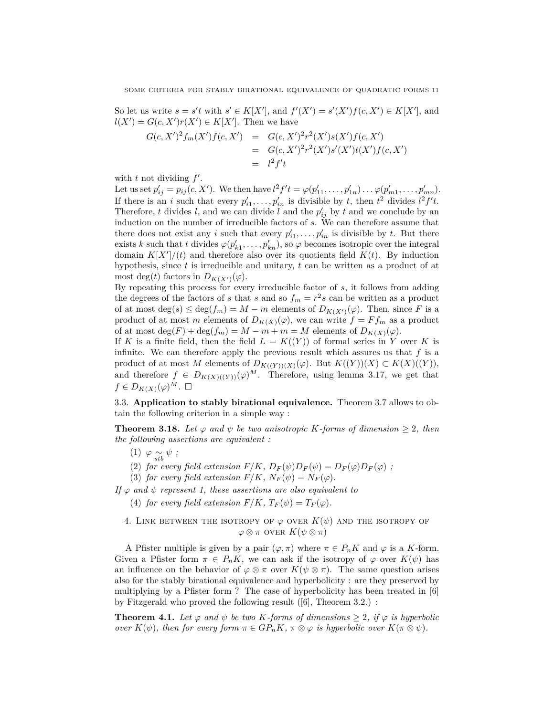So let us write  $s = s't$  with  $s' \in K[X']$ , and  $f'(X') = s'(X')f(c, X') \in K[X']$ , and  $l(X') = G(c, X')r(X') \in K[X']$ . Then we have

$$
G(c, X')^{2} f_{m}(X') f(c, X') = G(c, X')^{2} r^{2}(X') s(X') f(c, X')
$$
  
= 
$$
G(c, X')^{2} r^{2}(X') s'(X') t(X') f(c, X')
$$
  
= 
$$
l^{2} f' t
$$

with  $t$  not dividing  $f'$ .

Let us set  $p'_{ij} = p_{ij}(c, X')$ . We then have  $l^2 f' t = \varphi(p'_{11}, \ldots, p'_{1n}) \ldots \varphi(p'_{m1}, \ldots, p'_{mn})$ . If there is an *i* such that every  $p'_{i1}, \ldots, p'_{in}$  is divisible by *t*, then  $t^2$  divides  $l^2 f' t$ . Therefore, *t* divides *l*, and we can divide *l* and the  $p'_{ij}$  by *t* and we conclude by an induction on the number of irreducible factors of *s*. We can therefore assume that there does not exist any *i* such that every  $p'_{i1}, \ldots, p'_{in}$  is divisible by *t*. But there exists *k* such that *t* divides  $\varphi(p'_{k1}, \ldots, p'_{kn})$ , so  $\varphi$  becomes isotropic over the integral domain  $K[X']/(t)$  and therefore also over its quotients field  $K(t)$ . By induction hypothesis, since *t* is irreducible and unitary, *t* can be written as a product of at most deg(*t*) factors in  $D_{K(X')}(\varphi)$ .

By repeating this process for every irreducible factor of *s*, it follows from adding the degrees of the factors of *s* that *s* and so  $f_m = r^2 s$  can be written as a product of at most  $\deg(s) \leq \deg(f_m) = M - m$  elements of  $D_{K(X')}(\varphi)$ . Then, since *F* is a product of at most *m* elements of  $D_{K(X)}(\varphi)$ , we can write  $f = Ff_m$  as a product of at most deg( $F$ ) + deg( $f_m$ ) =  $M - m + m = M$  elements of  $D_{K(X)}(\varphi)$ .

If *K* is a finite field, then the field  $L = K((Y))$  of formal series in *Y* over *K* is infinite. We can therefore apply the previous result which assures us that  $f$  is a product of at most *M* elements of  $D_{K((Y))(X)}(\varphi)$ . But  $K((Y))(X) \subset K(X)((Y)),$ and therefore  $f \in D_{K(X)(Y)}(\varphi)^M$ . Therefore, using lemma 3.17, we get that  $f \in D_{K(X)}(\varphi)^M$ .  $\Box$ 

3.3. **Application to stably birational equivalence.** Theorem 3.7 allows to obtain the following criterion in a simple way :

**Theorem 3.18.** Let  $\varphi$  and  $\psi$  be two anisotropic K-forms of dimension  $\geq 2$ , then *the following assertions are equivalent :*

- $(1)$   $\varphi \underset{stb}{\sim} \psi$ ;
- (2) *for every field extension*  $F/K$ ,  $D_F(\psi)D_F(\psi) = D_F(\varphi)D_F(\varphi)$ ;
- (3) *for every field extension*  $F/K$ ,  $N_F(\psi) = N_F(\varphi)$ .

*If*  $\varphi$  *and*  $\psi$  *represent 1, these assertions are also equivalent to* 

- (4) *for every field extension*  $F/K$ ,  $T_F(\psi) = T_F(\varphi)$ .
- 4. LINK BETWEEN THE ISOTROPY OF  $\varphi$  over  $K(\psi)$  and the isotropy of  $\varphi \otimes \pi$  over  $K(\psi \otimes \pi)$

A Pfister multiple is given by a pair  $(\varphi, \pi)$  where  $\pi \in P_n K$  and  $\varphi$  is a *K*-form. Given a Pfister form  $\pi \in P_nK$ , we can ask if the isotropy of  $\varphi$  over  $K(\psi)$  has an influence on the behavior of  $\varphi \otimes \pi$  over  $K(\psi \otimes \pi)$ . The same question arises also for the stably birational equivalence and hyperbolicity : are they preserved by multiplying by a Pfister form ? The case of hyperbolicity has been treated in [6] by Fitzgerald who proved the following result ([6], Theorem 3.2.) :

**Theorem 4.1.** Let  $\varphi$  and  $\psi$  be two K-forms of dimensions  $\geq 2$ , if  $\varphi$  is hyperbolic *over*  $K(\psi)$ *, then for every form*  $\pi \in GP_nK$ *,*  $\pi \otimes \varphi$  *is hyperbolic over*  $K(\pi \otimes \psi)$ *.*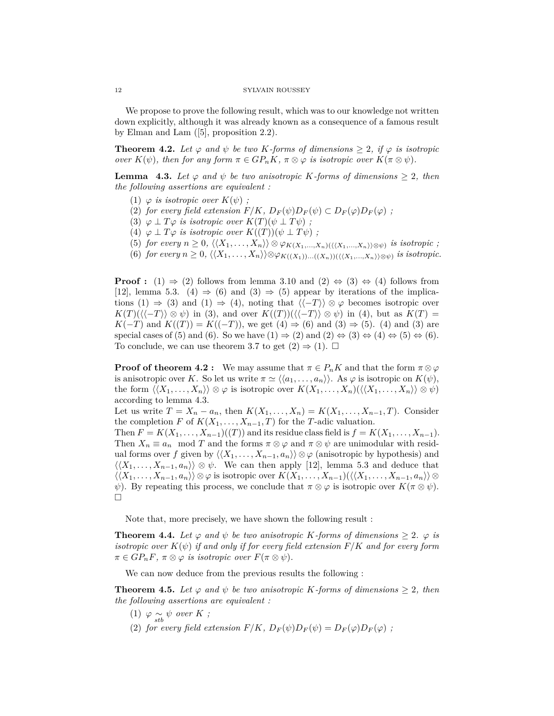We propose to prove the following result, which was to our knowledge not written down explicitly, although it was already known as a consequence of a famous result by Elman and Lam ([5], proposition 2.2).

**Theorem 4.2.** Let  $\varphi$  and  $\psi$  be two K-forms of dimensions  $\geq 2$ , if  $\varphi$  is isotropic *over*  $K(\psi)$ *, then for any form*  $\pi \in GP_nK$ *,*  $\pi \otimes \varphi$  *is isotropic over*  $K(\pi \otimes \psi)$ *.* 

**Lemma** 4.3. Let  $\varphi$  and  $\psi$  be two anisotropic K-forms of dimensions  $\geq 2$ , then *the following assertions are equivalent :*

- (1)  $\varphi$  *is isotropic over*  $K(\psi)$ ;
- (2) *for every field extension*  $F/K$ ,  $D_F(\psi)D_F(\psi) \subset D_F(\varphi)D_F(\varphi)$ ;
- (3)  $\varphi \perp T\varphi$  *is isotropic over*  $K(T)(\psi \perp T\psi)$ ;
- (4)  $\varphi \perp T\varphi$  *is isotropic over*  $K((T))(\psi \perp T\psi)$ ;
- $(5)$  *for every*  $n \geq 0$ ,  $\langle\langle X_1, \ldots, X_n \rangle\rangle \otimes \varphi_{K(X_1, \ldots, X_n)(\langle\langle X_1, \ldots, X_n \rangle\rangle \otimes \psi)}$  is isotropic ;
- $(6)$  *for every*  $n \geq 0$ ,  $\langle (X_1, \ldots, X_n) \rangle \otimes \varphi_{K((X_1))\ldots((X_n))(\langle (X_1, \ldots, X_n) \rangle \otimes \psi)}$  *is isotropic.*

**Proof :** (1)  $\Rightarrow$  (2) follows from lemma 3.10 and (2)  $\Leftrightarrow$  (3)  $\Leftrightarrow$  (4) follows from [12], lemma 5.3. (4)  $\Rightarrow$  (6) and (3)  $\Rightarrow$  (5) appear by iterations of the implications (1)  $\Rightarrow$  (3) and (1)  $\Rightarrow$  (4), noting that  $\langle\langle -T \rangle\rangle \otimes \varphi$  becomes isotropic over  $K(T)(\langle\langle -T \rangle\rangle \otimes \psi)$  in (3), and over  $K((T))(\langle\langle -T \rangle\rangle \otimes \psi)$  in (4), but as  $K(T)$  = *K*(−*T*) and *K*((*T*)) = *K*((−*T*)), we get (4) ⇒ (6) and (3) ⇒ (5). (4) and (3) are special cases of (5) and (6). So we have  $(1) \Rightarrow (2)$  and  $(2) \Leftrightarrow (3) \Leftrightarrow (4) \Leftrightarrow (5) \Leftrightarrow (6)$ . To conclude, we can use theorem 3.7 to get  $(2) \Rightarrow (1)$ .  $\Box$ 

**Proof of theorem 4.2 :** We may assume that  $\pi \in P_nK$  and that the form  $\pi \otimes \varphi$ is anisotropic over *K*. So let us write  $\pi \simeq \langle \langle a_1, \ldots, a_n \rangle \rangle$ . As  $\varphi$  is isotropic on  $K(\psi)$ , the form  $\langle \langle X_1, \ldots, X_n \rangle \rangle \otimes \varphi$  is isotropic over  $K(X_1, \ldots, X_n)(\langle \langle X_1, \ldots, X_n \rangle \rangle \otimes \psi)$ according to lemma 4.3.

Let us write  $T = X_n - a_n$ , then  $K(X_1, \ldots, X_n) = K(X_1, \ldots, X_{n-1}, T)$ . Consider the completion *F* of  $K(X_1, \ldots, X_{n-1}, T)$  for the *T*-adic valuation.

Then  $F = K(X_1, \ldots, X_{n-1})((T))$  and its residue class field is  $f = K(X_1, \ldots, X_{n-1})$ . Then  $X_n \equiv a_n \mod T$  and the forms  $\pi \otimes \varphi$  and  $\pi \otimes \psi$  are unimodular with residual forms over *f* given by  $\langle X_1, \ldots, X_{n-1}, a_n \rangle \otimes \varphi$  (anisotropic by hypothesis) and  $\langle \langle X_1, \ldots, X_{n-1}, a_n \rangle \rangle \otimes \psi$ . We can then apply [12], lemma 5.3 and deduce that  $\langle \langle X_1, \ldots, X_{n-1}, a_n \rangle \rangle \otimes \varphi$  is isotropic over  $K(X_1, \ldots, X_{n-1}) (\langle \langle X_1, \ldots, X_{n-1}, a_n \rangle \rangle \otimes$ *ψ*). By repeating this process, we conclude that  $\pi \otimes \varphi$  is isotropic over  $K(\pi \otimes \psi)$ .  $\Box$ 

Note that, more precisely, we have shown the following result :

**Theorem 4.4.** Let  $\varphi$  and  $\psi$  be two anisotropic K-forms of dimensions  $\geq 2$ .  $\varphi$  is *isotropic over*  $K(\psi)$  *if and only if for every field extension*  $F/K$  *and for every form*  $\pi \in GP_nF$ ,  $\pi \otimes \varphi$  *is isotropic over*  $F(\pi \otimes \psi)$ .

We can now deduce from the previous results the following :

**Theorem 4.5.** Let  $\varphi$  and  $\psi$  be two anisotropic K-forms of dimensions  $\geq 2$ , then *the following assertions are equivalent :*

- (1)  $\varphi \underset{stb}{\sim} \psi$  *over K ;*
- (2) *for every field extension*  $F/K$ ,  $D_F(\psi)D_F(\psi) = D_F(\varphi)D_F(\varphi)$ ;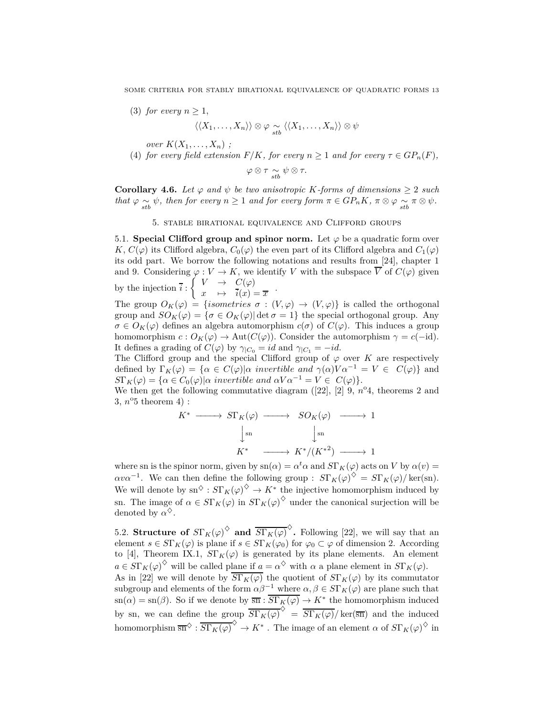(3) *for every*  $n > 1$ ,

$$
\langle\langle X_1,\ldots,X_n\rangle\rangle\otimes\varphi\underset{stb}{\sim}\langle\langle X_1,\ldots,X_n\rangle\rangle\otimes\psi
$$

*over*  $K(X_1, ..., X_n)$ ;

(4) *for every field extension*  $F/K$ *, for every*  $n \geq 1$  *and for every*  $\tau \in GP_n(F)$ *,* 

$$
\varphi\otimes\tau \underset{stb}{\sim} \psi\otimes\tau.
$$

**Corollary 4.6.** *Let*  $\varphi$  *and*  $\psi$  *be two anisotropic K*-forms of dimensions  $\geq 2$  *such that*  $\varphi \sim \psi$ *, then for every*  $n \ge 1$  *and for every form*  $\pi \in GP_nK$ ,  $\pi \otimes \varphi \sim_{\text{stb}} \pi \otimes \psi$ .

## 5. stable birational equivalence and Clifford groups

5.1. **Special Clifford group and spinor norm.** Let  $\varphi$  be a quadratic form over *K*,  $C(\varphi)$  its Clifford algebra,  $C_0(\varphi)$  the even part of its Clifford algebra and  $C_1(\varphi)$ its odd part. We borrow the following notations and results from [24], chapter 1 and 9. Considering  $\varphi: V \to K$ , we identify *V* with the subspace  $\overline{V}$  of  $C(\varphi)$  given by the injection *i* :  $\int V \rightarrow C(\varphi)$ 

 $x \mapsto \overline{i}(x) = \overline{x}$ The group  $O_K(\varphi) = \{isometries \sigma : (V, \varphi) \to (V, \varphi)\}$  is called the orthogonal group and  $SO_K(\varphi) = {\sigma \in O_K(\varphi)}$  det  $\sigma = 1$ } the special orthogonal group. Any  $\sigma \in O_K(\varphi)$  defines an algebra automorphism  $c(\sigma)$  of  $C(\varphi)$ . This induces a group homomorphism  $c: O_K(\varphi) \to \text{Aut}(C(\varphi))$ . Consider the automorphism  $\gamma = c(-id)$ . It defines a grading of  $C(\varphi)$  by  $\gamma_{|C_0} = id$  and  $\gamma_{|C_1} = -id$ .

The Clifford group and the special Clifford group of  $\varphi$  over *K* are respectively defined by  $\Gamma_K(\varphi) = {\alpha \in C(\varphi)}\alpha$  invertible and  $\gamma(\alpha)V\alpha^{-1} = V \in C(\varphi)$  and  $S\Gamma_K(\varphi) = {\alpha \in C_0(\varphi)}\alpha$  invertible and  $\alpha V \alpha^{-1} = V \in C(\varphi)$ .

We then get the following commutative diagram  $([22], [2], 9, n^{\circ}4$ , theorems 2 and  $3, n^{\circ}5$  theorem  $4)$ :

$$
K^* \longrightarrow S\Gamma_K(\varphi) \longrightarrow SO_K(\varphi) \longrightarrow 1
$$
  

$$
\downarrow^{\text{sn}} \qquad \qquad \downarrow^{\text{sn}} \qquad \qquad \downarrow^{\text{sn}} \qquad \qquad
$$
  

$$
K^* \longrightarrow K^*/(K^{*2}) \longrightarrow 1
$$

where sn is the spinor norm, given by  $\text{sn}(\alpha) = \alpha^t \alpha$  and  $S\Gamma_K(\varphi)$  acts on *V* by  $\alpha(v) =$  $\alpha v \alpha^{-1}$ . We can then define the following group :  $S\Gamma_K(\varphi)^{\diamondsuit} = S\Gamma_K(\varphi)/\ker(\mathrm{sn})$ . We will denote by  $\text{sn}^{\diamondsuit}: S\Gamma_K(\varphi)^\diamondsuit \to K^*$  the injective homomorphism induced by sn. The image of  $\alpha \in S\Gamma_K(\varphi)$  in  $S\Gamma_K(\varphi)$ <sup> $\diamond$ </sup> under the canonical surjection will be denoted by  $\alpha^{\diamondsuit}$ .

5.2. **Structure of**  $S\Gamma_K(\varphi)^\diamondsuit$  and  $\overline{S\Gamma_K(\varphi)}^\diamondsuit$ . Following [22], we will say that an element  $s \in S\Gamma_K(\varphi)$  is plane if  $s \in S\Gamma_K(\varphi_0)$  for  $\varphi_0 \subset \varphi$  of dimension 2. According to [4], Theorem IX.1,  $S\Gamma_K(\varphi)$  is generated by its plane elements. An element  $a \in S\Gamma_K(\varphi)$ <sup> $\diamond$ </sup> will be called plane if  $a = \alpha^{\diamond}$  with  $\alpha$  a plane element in  $S\Gamma_K(\varphi)$ . As in [22] we will denote by  $\overline{S\Gamma_K(\varphi)}$  the quotient of  $S\Gamma_K(\varphi)$  by its commutator subgroup and elements of the form  $\alpha\beta^{-1}$  where  $\alpha, \beta \in S\Gamma_K(\varphi)$  are plane such that  $\sin(\alpha) = \sin(\beta)$ . So if we denote by  $\overline{\sin} : \overline{S\Gamma_K(\varphi)} \to K^*$  the homomorphism induced by sn, we can define the group  $\overline{S\Gamma_K(\varphi)}^{\Diamond} = \overline{S\Gamma_K(\varphi)}/\ker(\overline{sn})$  and the induced homomorphism  $\overline{\text{sn}}^{\diamond} : \overline{S\Gamma_K(\varphi)}^{\diamond} \to K^*$ . The image of an element  $\alpha$  of  $S\Gamma_K(\varphi)^{\diamondsuit}$  in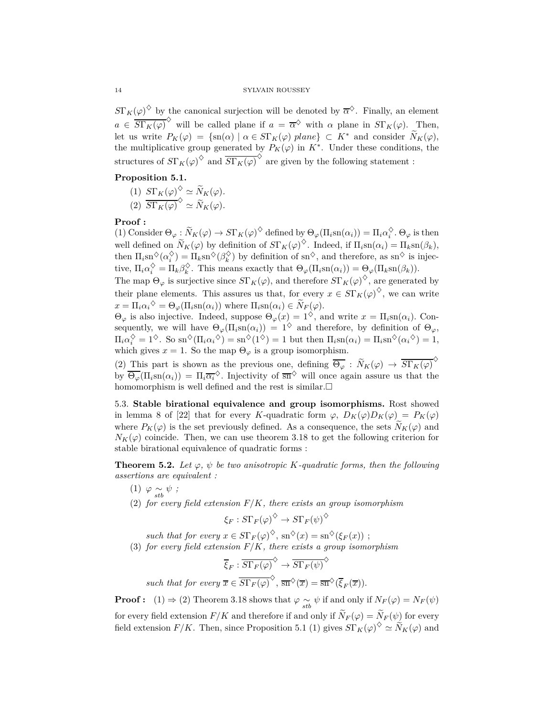$S\Gamma_K(\varphi)$ <sup> $\diamond$ </sup> by the canonical surjection will be denoted by  $\overline{\alpha}^{\diamond}$ . Finally, an element  $a \in \overline{S\Gamma_K(\varphi)}^{\Diamond}$  will be called plane if  $a = \overline{\alpha}^{\Diamond}$  with  $\alpha$  plane in  $S\Gamma_K(\varphi)$ . Then, let us write  $P_K(\varphi) = {\text{sn}(\alpha) | \alpha \in S\Gamma_K(\varphi) \text{ plane}} \subset K^*$  and consider  $\widetilde{N}_K(\varphi)$ , the multiplicative group generated by  $P_K(\varphi)$  in  $K^*$ . Under these conditions, the structures of  $S\Gamma_K(\varphi)^\diamondsuit$  and  $\overline{S\Gamma_K(\varphi)}^\diamondsuit$  are given by the following statement :

# **Proposition 5.1.**

- $(1)$   $S\Gamma_K(\varphi) \sim \widetilde{N}_K(\varphi)$ .
- $\overline{S\Gamma_K(\varphi)}^{\diamond} \simeq \widetilde{N}_K(\varphi).$

## **Proof :**

(1) Consider  $\Theta_{\varphi} : \widetilde{N}_K(\varphi) \to S\Gamma_K(\varphi)^{\diamond}$  defined by  $\Theta_{\varphi}(\Pi_i \operatorname{sn}(\alpha_i)) = \Pi_i \alpha_i^{\diamond}$ .  $\Theta_{\varphi}$  is then well defined on  $\widetilde{N}_K(\varphi)$  by definition of  $S\Gamma_K(\varphi)^\diamondsuit$ . Indeed, if  $\Pi_i \text{sn}(\alpha_i) = \Pi_k \text{sn}(\beta_k)$ , then  $\Pi_i$ sn<sup> $\diamondsuit(\alpha_i^{\diamondsuit}) = \Pi_k$ sn $\circsuit(\beta_k^{\diamondsuit})$  by definition of sn<sup> $\diamondsuit$ </sup>, and therefore, as sn<sup> $\diamondsuit$ </sup> is injec-</sup> tive,  $\Pi_i \alpha_i^{\diamondsuit} = \Pi_k \beta_k^{\diamondsuit}$ . This means exactly that  $\Theta_{\varphi}(\Pi_i \operatorname{sn}(\alpha_i)) = \Theta_{\varphi}(\Pi_k \operatorname{sn}(\beta_k)).$ 

The map  $\Theta_{\varphi}$  is surjective since  $S\Gamma_K(\varphi)$ , and therefore  $S\Gamma_K(\varphi)^{\diamondsuit}$ , are generated by their plane elements. This assures us that, for every  $x \in S\Gamma_K(\varphi)^\diamondsuit$ , we can write  $x = \Pi_i \alpha_i^{\diamond} = \Theta_{\varphi}(\Pi_i \operatorname{sn}(\alpha_i))$  where  $\Pi_i \operatorname{sn}(\alpha_i) \in \widetilde{N}_F(\varphi)$ .

 $Θ$ <sub>*ϕ*</sub> is also injective. Indeed, suppose  $Θ$ <sub>*ϕ*</sub>(*x*) = 1<sup> $\diamond$ </sup>, and write *x* = Π<sub>*i*</sub>sn(*α<sub><i>i*</sub>)</sub>. Consequently, we will have  $\Theta_{\varphi}(\Pi_i \text{sn}(\alpha_i)) = 1^{\diamondsuit}$  and therefore, by definition of  $\Theta_{\varphi}$ ,  $\Pi_i \alpha_i^{\diamond} = 1^{\diamond}$ . So  $\text{sn}^{\diamond}(\Pi_i \alpha_i^{\diamond}) = \text{sn}^{\diamond}(1^{\diamond}) = 1$  but then  $\Pi_i \text{sn}(\alpha_i) = \Pi_i \text{sn}^{\diamond}(\alpha_i^{\diamond}) = 1$ , which gives  $x = 1$ . So the map  $\Theta_{\varphi}$  is a group isomorphism.

(2) This part is shown as the previous one, defining  $\overline{\Theta_{\varphi}} : \widetilde{N}_K(\varphi) \to \overline{S\Gamma_K(\varphi)}^{\Diamond}$ by  $\overline{\Theta_{\varphi}}(\Pi_i \text{sn}(\alpha_i)) = \Pi_i \overline{\alpha_i}^{\lozenge}$ . Injectivity of  $\overline{\text{sn}}^{\lozenge}$  will once again assure us that the homomorphism is well defined and the rest is similar.

5.3. **Stable birational equivalence and group isomorphisms.** Rost showed in lemma 8 of [22] that for every *K*-quadratic form  $\varphi$ ,  $D_K(\varphi)D_K(\varphi) = P_K(\varphi)$ where  $P_K(\varphi)$  is the set previously defined. As a consequence, the sets  $\tilde{N}_K(\varphi)$  and  $N_K(\varphi)$  coincide. Then, we can use theorem 3.18 to get the following criterion for stable birational equivalence of quadratic forms :

**Theorem 5.2.** Let  $\varphi$ ,  $\psi$  be two anisotropic *K*-quadratic forms, then the following *assertions are equivalent :*

 $(1)$   $\varphi \underset{stb}{\sim} \psi$ ;

(2) *for every field extension F/K, there exists an group isomorphism*

$$
\xi_F: S\Gamma_F(\varphi)^{\diamondsuit}\to S\Gamma_F(\psi)^{\diamondsuit}
$$

*such that for every*  $x \in S\Gamma_F(\varphi)^\diamondsuit$ ,  $\text{sn}^\diamondsuit(x) = \text{sn}^\diamondsuit(\xi_F(x))$ ;

(3) *for every field extension F/K, there exists a group isomorphism*

$$
\overline{\xi}_F : \overline{S\Gamma_F(\varphi)}^{\diamondsuit} \to \overline{S\Gamma_F(\psi)}^{\diamondsuit}
$$

*such that for every*  $\overline{x} \in \overline{\mathrm{ST}_F(\varphi)}^{\diamond}$ ,  $\overline{\mathrm{sn}}^{\diamondsuit}(\overline{x}) = \overline{\mathrm{sn}}^{\diamondsuit}(\overline{\xi}_F(\overline{x}))$ .

**Proof :** (1)  $\Rightarrow$  (2) Theorem 3.18 shows that  $\varphi \sim_{\text{stb}} \psi$  if and only if  $N_F(\varphi) = N_F(\psi)$ for every field extension  $F/K$  and therefore if and only if  $\widetilde{N}_F(\varphi) = \widetilde{N}_F(\psi)$  for every field extension  $F/K$ . Then, since Proposition 5.1 (1) gives  $S\Gamma_K(\varphi)^{\diamondsuit} \simeq \widetilde{N}_K(\varphi)$  and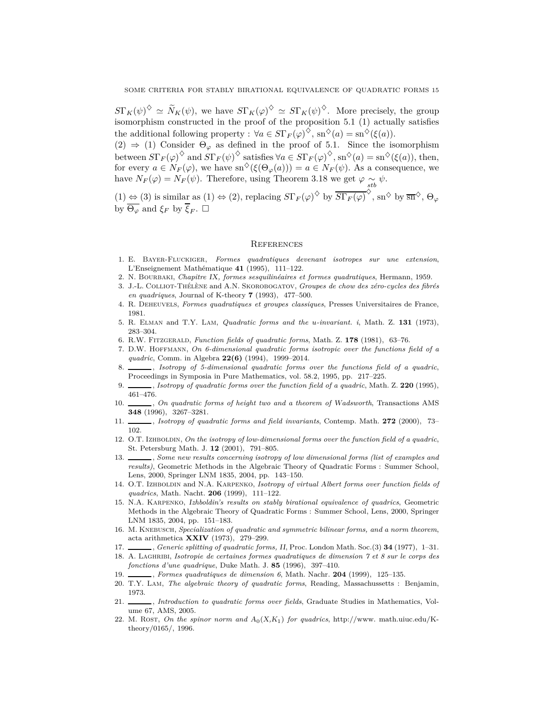$S\Gamma_K(\psi)^\diamondsuit \simeq \widetilde{N}_K(\psi)$ , we have  $S\Gamma_K(\varphi)^\diamondsuit \simeq S\Gamma_K(\psi)^\diamondsuit$ . More precisely, the group isomorphism constructed in the proof of the proposition 5.1 (1) actually satisfies the additional following property :  $\forall a \in S\Gamma_F(\varphi)^\diamondsuit$ ,  $\text{sn}^\diamondsuit(a) = \text{sn}^\diamondsuit(\xi(a))$ *.* 

 $(2) \Rightarrow (1)$  Consider  $\Theta_{\varphi}$  as defined in the proof of 5.1. Since the isomorphism between  $S\Gamma_F(\varphi)^\diamondsuit$  and  $S\Gamma_F(\psi)^\diamondsuit$  satisfies  $\forall a \in S\Gamma_F(\varphi)^\diamondsuit$ , sn<sup> $\diamondsuit(a) = \text{sn}^\diamondsuit(\xi(a))$ , then,</sup> for every  $a \in N_F(\varphi)$ , we have  $\text{sn}^{\diamondsuit}(\xi(\Theta_\varphi(a))) = a \in N_F(\psi)$ . As a consequence, we have  $N_F(\varphi) = N_F(\psi)$ . Therefore, using Theorem 3.18 we get  $\varphi \sim \psi$ . *stb*

 $(1) \Leftrightarrow (3)$  is similar as  $(1) \Leftrightarrow (2)$ , replacing  $S\Gamma_F(\varphi)^\diamondsuit$  by  $\overline{S\Gamma_F(\varphi)}^\diamondsuit$ , sn<sup> $\diamondsuit$ </sup> by  $\overline{sn}^\diamondsuit$ ,  $\Theta_\varphi$ by  $\overline{\Theta_{\varphi}}$  and  $\xi_F$  by  $\overline{\xi}_F$ .  $\square$ 

## **REFERENCES**

- 1. E. Bayer-Fluckiger, *Formes quadratiques devenant isotropes sur une extension*, L'Enseignement Mathématique **41** (1995), 111–122.
- 2. N. Bourbaki, *Chapitre* IX*, formes sesquilinéaires et formes quadratiques*, Hermann, 1959.
- 3. J.-L. Colliot-Thélène and A.N. Skorobogatov, *Groupes de chow des zéro-cycles des fibrés en quadriques*, Journal of K-theory **7** (1993), 477–500.
- 4. R. Deheuvels, *Formes quadratiques et groupes classiques*, Presses Universitaires de France, 1981.
- 5. R. Elman and T.Y. Lam, *Quadratic forms and the u-invariant. i*, Math. Z. **131** (1973), 283–304.
- 6. R.W. Fitzgerald, *Function fields of quadratic forms*, Math. Z. **178** (1981), 63–76.
- 7. D.W. Hoffmann, *On 6-dimensional quadratic forms isotropic over the functions field of a quadric*, Comm. in Algebra **22(6)** (1994), 1999–2014.
- 8. , *Isotropy of 5-dimensional quadratic forms over the functions field of a quadric*, Proceedings in Symposia in Pure Mathematics, vol. 58.2, 1995, pp. 217–225.
- 9. , *Isotropy of quadratic forms over the function field of a quadric*, Math. Z. **220** (1995), 461–476.
- 10. , *On quadratic forms of height two and a theorem of* W*adsworth*, Transactions AMS **348** (1996), 3267–3281.
- 11. , *Isotropy of quadratic forms and field invariants*, Contemp. Math. **272** (2000), 73– 102.
- 12. O.T. IzHBOLDIN, *On the isotropy of low-dimensional forms over the function field of a quadric*, St. Petersburg Math. J. **12** (2001), 791–805.
- 13. Some new results concerning isotropy of low dimensional forms (list of examples and *results)*, Geometric Methods in the Algebraic Theory of Quadratic Forms : Summer School, Lens, 2000, Springer LNM 1835, 2004, pp. 143–150.
- 14. O.T. Izhboldin and N.A. Karpenko, *Isotropy of virtual* A*lbert forms over function fields of quadrics*, Math. Nacht. **206** (1999), 111–122.
- 15. N.A. Karpenko, I*zhboldin's results on stably birational equivalence of quadrics*, Geometric Methods in the Algebraic Theory of Quadratic Forms : Summer School, Lens, 2000, Springer LNM 1835, 2004, pp. 151–183.
- 16. M. Knebusch, *Specialization of quadratic and symmetric bilinear forms, and a norm theorem*, acta arithmetica **XXIV** (1973), 279–299.
- 17. , *Generic splitting of quadratic forms,* II, Proc. London Math. Soc.(3) **34** (1977), 1–31.
- 18. A. Laghribi, *Isotropie de certaines formes quadratiques de dimension 7 et 8 sur le corps des fonctions d'une quadrique*, Duke Math. J. **85** (1996), 397–410.
- 19. , *Formes quadratiques de dimension 6*, Math. Nachr. **204** (1999), 125–135.
- 20. T.Y. Lam, *The algebraic theory of quadratic forms*, Reading, Massachussetts : Benjamin, 1973.
- 21. , *Introduction to quadratic forms over fields*, Graduate Studies in Mathematics, Volume 67, AMS, 2005.
- 22. M. Rost, *On the spinor norm and*  $A_0(X,K_1)$  *for quadrics*, http://www. math.uiuc.edu/Ktheory/0165/, 1996.